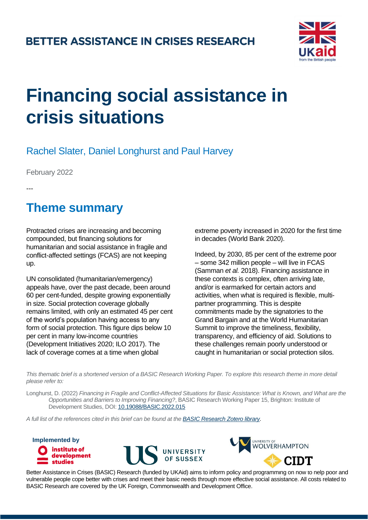#### **BETTER ASSISTANCE IN CRISES RESEARCH**



# **Financing social assistance in crisis situations**

#### Rachel Slater, Daniel Longhurst and Paul Harvey

February 2022

---

## **Theme summary**

Protracted crises are increasing and becoming compounded, but financing solutions for humanitarian and social assistance in fragile and conflict-affected settings (FCAS) are not keeping up.

UN consolidated (humanitarian/emergency) appeals have, over the past decade, been around 60 per cent-funded, despite growing exponentially in size. Social protection coverage globally remains limited, with only an estimated 45 per cent of the world's population having access to any form of social protection. This figure dips below 10 per cent in many low-income countries (Development Initiatives 2020; ILO 2017). The lack of coverage comes at a time when global

extreme poverty increased in 2020 for the first time in decades (World Bank 2020).

Indeed, by 2030, 85 per cent of the extreme poor – some 342 million people – will live in FCAS (Samman *et al.* 2018). Financing assistance in these contexts is complex, often arriving late, and/or is earmarked for certain actors and activities, when what is required is flexible, multipartner programming. This is despite commitments made by the signatories to the Grand Bargain and at the World Humanitarian Summit to improve the timeliness, flexibility, transparency, and efficiency of aid. Solutions to these challenges remain poorly understood or caught in humanitarian or social protection silos.

*This thematic brief is a shortened version of a BASIC Research Working Paper. To explore this research theme in more detail please refer to:*

Longhurst, D. (2022) *Financing in Fragile and Conflict-Affected Situations for Basic Assistance: What is Known, and What are the Opportunities and Barriers to Improving Financing?*, BASIC Research Working Paper 15, Brighton: Institute of Development Studies, DOI: [10.19088/BASIC.2022.015](https://doi.org/10.19088/BASIC.2022.015)

*A full list of the references cited in this brief can be found at the [BASIC Research Zotero library.](https://www.zotero.org/groups/2590921/basic_-_better_assistance_in_crises_research/collections/QNLU4MLW)*

**Implemented by** institute of development **studies** 





Better Assistance in Crises (BASIC) Research (funded by UKAid) aims to inform policy and programming on how to help poor and vulnerable people cope better with crises and meet their basic needs through more effective social assistance. All costs related to BASIC Research are covered by the UK Foreign, Commonwealth and Development Office.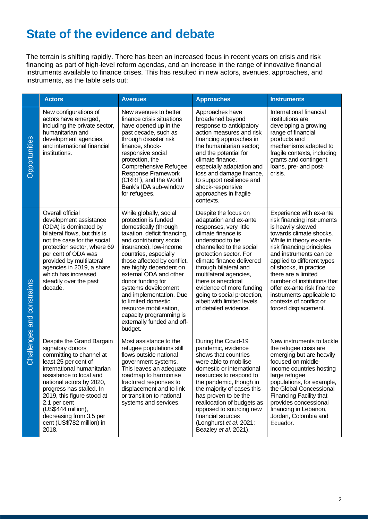# **State of the evidence and debate**

The terrain is shifting rapidly. There has been an increased focus in recent years on crisis and risk financing as part of high-level reform agendas, and an increase in the range of innovative financial instruments available to finance crises. This has resulted in new actors, avenues, approaches, and instruments, as the table sets out:

|                            | <b>Actors</b>                                                                                                                                                                                                                                                                                                                                            | <b>Avenues</b>                                                                                                                                                                                                                                                                                                                                                                                                                                                        | <b>Approaches</b>                                                                                                                                                                                                                                                                                                                                                                                | <b>Instruments</b>                                                                                                                                                                                                                                                                                                                                                                                                  |
|----------------------------|----------------------------------------------------------------------------------------------------------------------------------------------------------------------------------------------------------------------------------------------------------------------------------------------------------------------------------------------------------|-----------------------------------------------------------------------------------------------------------------------------------------------------------------------------------------------------------------------------------------------------------------------------------------------------------------------------------------------------------------------------------------------------------------------------------------------------------------------|--------------------------------------------------------------------------------------------------------------------------------------------------------------------------------------------------------------------------------------------------------------------------------------------------------------------------------------------------------------------------------------------------|---------------------------------------------------------------------------------------------------------------------------------------------------------------------------------------------------------------------------------------------------------------------------------------------------------------------------------------------------------------------------------------------------------------------|
| Opportunities              | New configurations of<br>actors have emerged,<br>including the private sector,<br>humanitarian and<br>development agencies,<br>and international financial<br>institutions.                                                                                                                                                                              | New avenues to better<br>finance crisis situations<br>have opened up in the<br>past decade, such as<br>through disaster risk<br>finance, shock-<br>responsive social<br>protection, the<br>Comprehensive Refugee<br>Response Framework<br>(CRRF), and the World<br>Bank's IDA sub-window<br>for refugees.                                                                                                                                                             | Approaches have<br>broadened beyond<br>response to anticipatory<br>action measures and risk<br>financing approaches in<br>the humanitarian sector;<br>and the potential for<br>climate finance,<br>especially adaptation and<br>loss and damage finance,<br>to support resilience and<br>shock-responsive<br>approaches in fragile<br>contexts.                                                  | International financial<br>institutions are<br>developing a growing<br>range of financial<br>products and<br>mechanisms adapted to<br>fragile contexts, including<br>grants and contingent<br>loans, pre- and post-<br>crisis.                                                                                                                                                                                      |
| Challenges and constraints | Overall official<br>development assistance<br>(ODA) is dominated by<br>bilateral flows, but this is<br>not the case for the social<br>protection sector, where 69<br>per cent of ODA was<br>provided by multilateral<br>agencies in 2019, a share<br>which has increased<br>steadily over the past<br>decade.                                            | While globally, social<br>protection is funded<br>domestically (through<br>taxation, deficit financing,<br>and contributory social<br>insurance), low-income<br>countries, especially<br>those affected by conflict,<br>are highly dependent on<br>external ODA and other<br>donor funding for<br>systems development<br>and implementation. Due<br>to limited domestic<br>resource mobilisation,<br>capacity programming is<br>externally funded and off-<br>budget. | Despite the focus on<br>adaptation and ex-ante<br>responses, very little<br>climate finance is<br>understood to be<br>channelled to the social<br>protection sector. For<br>climate finance delivered<br>through bilateral and<br>multilateral agencies,<br>there is anecdotal<br>evidence of more funding<br>going to social protection,<br>albeit with limited levels<br>of detailed evidence. | Experience with ex-ante<br>risk financing instruments<br>is heavily skewed<br>towards climate shocks.<br>While in theory ex-ante<br>risk financing principles<br>and instruments can be<br>applied to different types<br>of shocks, in practice<br>there are a limited<br>number of institutions that<br>offer ex-ante risk finance<br>instruments applicable to<br>contexts of conflict or<br>forced displacement. |
|                            | Despite the Grand Bargain<br>signatory donors<br>committing to channel at<br>least 25 per cent of<br>international humanitarian.<br>assistance to local and<br>national actors by 2020,<br>progress has stalled. In<br>2019, this figure stood at<br>2.1 per cent<br>(US\$444 million),<br>decreasing from 3.5 per<br>cent (US\$782 million) in<br>2018. | Most assistance to the<br>refugee populations still<br>flows outside national<br>government systems.<br>This leaves an adequate<br>roadmap to harmonise<br>fractured responses to<br>displacement and to link<br>or transition to national<br>systems and services.                                                                                                                                                                                                   | During the Covid-19<br>pandemic, evidence<br>shows that countries<br>were able to mobilise<br>domestic or international<br>resources to respond to<br>the pandemic, though in<br>the majority of cases this<br>has proven to be the<br>reallocation of budgets as<br>opposed to sourcing new<br>financial sources<br>(Longhurst et al. 2021;<br>Beazley et al. 2021).                            | New instruments to tackle<br>the refugee crisis are<br>emerging but are heavily<br>focused on middle-<br>income countries hosting<br>large refugee<br>populations, for example,<br>the Global Concessional<br><b>Financing Facility that</b><br>provides concessional<br>financing in Lebanon,<br>Jordan, Colombia and<br>Ecuador.                                                                                  |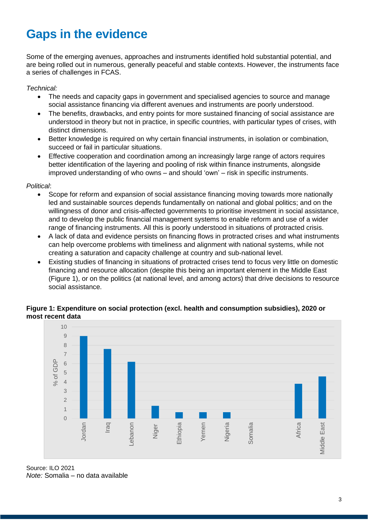# **Gaps in the evidence**

Some of the emerging avenues, approaches and instruments identified hold substantial potential, and are being rolled out in numerous, generally peaceful and stable contexts. However, the instruments face a series of challenges in FCAS.

*Technical:*

- The needs and capacity gaps in government and specialised agencies to source and manage social assistance financing via different avenues and instruments are poorly understood.
- The benefits, drawbacks, and entry points for more sustained financing of social assistance are understood in theory but not in practice, in specific countries, with particular types of crises, with distinct dimensions.
- Better knowledge is required on why certain financial instruments, in isolation or combination, succeed or fail in particular situations.
- Effective cooperation and coordination among an increasingly large range of actors requires better identification of the layering and pooling of risk within finance instruments, alongside improved understanding of who owns – and should 'own' – risk in specific instruments.

*Political*:

- Scope for reform and expansion of social assistance financing moving towards more nationally led and sustainable sources depends fundamentally on national and global politics; and on the willingness of donor and crisis-affected governments to prioritise investment in social assistance, and to develop the public financial management systems to enable reform and use of a wider range of financing instruments. All this is poorly understood in situations of protracted crisis.
- A lack of data and evidence persists on financing flows in protracted crises and what instruments can help overcome problems with timeliness and alignment with national systems, while not creating a saturation and capacity challenge at country and sub-national level.
- Existing studies of financing in situations of protracted crises tend to focus very little on domestic financing and resource allocation (despite this being an important element in the Middle East (Figure 1), or on the politics (at national level, and among actors) that drive decisions to resource social assistance.

#### **Figure 1: Expenditure on social protection (excl. health and consumption subsidies), 2020 or most recent data**



Source: ILO 2021 *Note:* Somalia – no data available